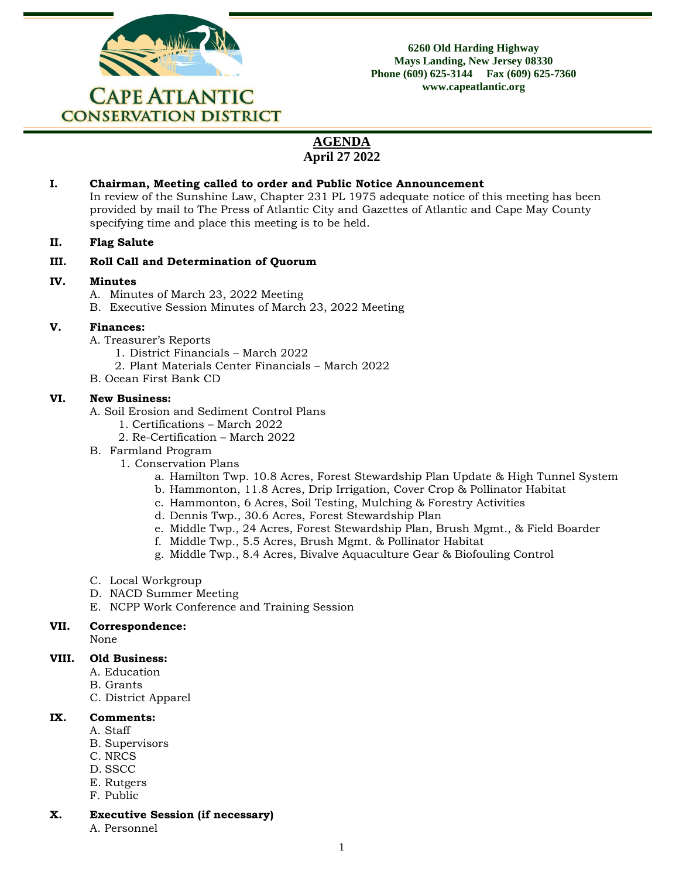

**6260 Old Harding Highway Mays Landing, New Jersey 08330 Phone (609) 625-3144 Fax (609) 625-7360 www.capeatlantic.org**

# **AGENDA April 27 2022**

## **I. Chairman, Meeting called to order and Public Notice Announcement**

In review of the Sunshine Law, Chapter 231 PL 1975 adequate notice of this meeting has been provided by mail to The Press of Atlantic City and Gazettes of Atlantic and Cape May County specifying time and place this meeting is to be held.

#### **II. Flag Salute**

## **III. Roll Call and Determination of Quorum**

## **IV. Minutes**

- A. Minutes of March 23, 2022 Meeting
- B. Executive Session Minutes of March 23, 2022 Meeting

## **V. Finances:**

- A. Treasurer's Reports
	- 1. District Financials March 2022
	- 2. Plant Materials Center Financials March 2022
- B. Ocean First Bank CD

## **VI. New Business:**

- A. Soil Erosion and Sediment Control Plans
	- 1. Certifications March 2022
	- 2. Re-Certification March 2022
- B. Farmland Program
	- 1. Conservation Plans
		- a. Hamilton Twp. 10.8 Acres, Forest Stewardship Plan Update & High Tunnel System
		- b. Hammonton, 11.8 Acres, Drip Irrigation, Cover Crop & Pollinator Habitat
		- c. Hammonton, 6 Acres, Soil Testing, Mulching & Forestry Activities
		- d. Dennis Twp., 30.6 Acres, Forest Stewardship Plan
		- e. Middle Twp., 24 Acres, Forest Stewardship Plan, Brush Mgmt., & Field Boarder
		- f. Middle Twp., 5.5 Acres, Brush Mgmt. & Pollinator Habitat
		- g. Middle Twp., 8.4 Acres, Bivalve Aquaculture Gear & Biofouling Control
- C. Local Workgroup
- D. NACD Summer Meeting
- E. NCPP Work Conference and Training Session

#### **VII. Correspondence:**

None

#### **VIII. Old Business:**

- A. Education
- B. Grants
- C. District Apparel

#### **IX. Comments:**

- A. Staff
- B. Supervisors
- C. NRCS
- D. SSCC
- E. Rutgers
- F. Public
- **X. Executive Session (if necessary)**
	- A. Personnel